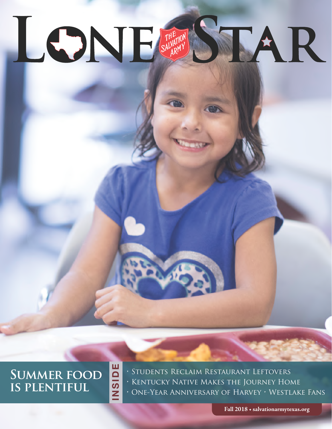# LONE SALARY STAR

**SUMMER FOOD on his feet is plentiful**

**INSIDE**

NSIDE

• Students Reclaim Restaurant Leftovers • Kentucky Native Makes the Journey Home • One-Year Anniversary of Harvey • Westlake Fans

**Spring 2018 • salvationarmytexas.org Fall 2018 • salvationarmytexas.org**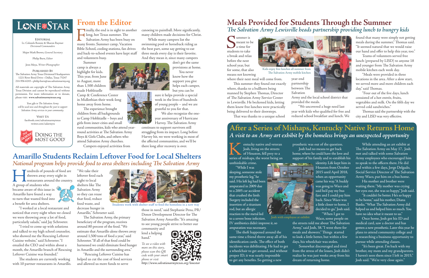thrown away every night in

A group of students who became aware of this issue in  $\vee$ Amarillo have found a way to turn that wasted food into a benefit for area shelters.

"I worked at a local restaurant and noticed that every night when we closed we were throwing away a lot of food, particularly salads," said Jay Schroeter. "I tried to come up with solutions and talked to my high school counselor, who showed me the Rescuing Leftover Cuisine website," said Schroeter. "I emailed the CEO and within about a month, the Amarillo branch of Rescuing

I undreds of pounds of food are<br>thrown away every night in<br>A group of students who restaurants around the country. "We take their leftover food each night to local shelters like The Salvation Army so they can reuse that food, reduce food waste, and

Leftover Cuisine was founded."

The students are currently working with 10 partner restaurants in Amarillo. **Kentucky native and veteran**<br>Josh, living on the streets<br>of Houston, fell prey to a<br>series of mishaps, the worst being an Josh, living on the streets of Houston, fell prey to a unthinkable crime.

decrease hunger in Amarillo," Schroeter said.

The Salvation Army, the primary beneficiary of the program, receives around 80 percent of the food. "We estimate that Amarillo alone throws away around 1,500 tons of food a year," said Schroeter. "If all of that food could be harnessed we could eliminate food hunger in Amarillo and the surrounding area."

"Rescuing Leftover Cuisine has helped us cut the cost of food services and allowed us more funds to serve







those in need," said Stephanie Pena, PR/ Donor Development Director for The Salvation Army Amarillo. "It's amazing to see young people strive to better our

community and lend a helping hand."

"While I was sleeping, someone stole my prosthetic leg," he said. His left leg had been amputated in 2009 due to a 2005 car accident that crushed the limb. Surgery included the insertion of a titanium rod, but an allergic reaction to the metal led

"It couldn't be better. He's so happy to be home," said his mother, Diana Banks. "What The Salvation Army did helped us and helped him so much. You have no idea what it meant to us."

to a severe bone infection. IV antibiotics didn't improve it, so

amputation was necessary.

Finally, the end is in sight to another<br>long, hot Texas summer. The<br>Salvation Army has been busy on<br>many fronts. Summer camp. Vacation long, hot Texas summer. The Salvation Army has been busy on many fronts. Summer camp, Vacation Bible School, cooling stations, fan drives and back-to-school events have kept staff and volunteers busy.

> The theft happened around the same time a friend threw away all of his identification cards. The effect of both incidents was debilitating. He had to get a wheelchair to get around, and without proper ID, it was nearly impossible to get any benefits. So getting a new

prosthetic was out of the question. Josh had no means to get back home, where he could have the love and support of his family and re-establish his identity. Life kept him in **BARADA BERGIA** Houston from October 2015 until April 2018, when an opportunity came his way. "A buddy was going to Waco and said he'd pay my bus fare and I could pay him back. Since Waco was a little closer to home, I decided to go," Josh said.



"When I got to Waco, some people on the streets told me about The Salvation Army," said Josh, 38. "I went there for meals and showers." Things started to look a little better, but within a few days, his wheelchair was stolen.

Summer is<br>
a time for<br>
students to take meant to be before the next school year, but for some, that also means not knowing

> Somewhat discouraged and tired from the stress of the losses, Josh didn't realize he was just weeks away from his dream of returning home.

While attending an art exhibit at The Salvation Army on May 17, Josh met and talked with some Salvation Army employees who encouraged him to speak to the officers there. He did and within a few days, Jorge Delgado, Social Service Director of The Salvation Army Waco, put him on a bus home.

His mother and brother were waiting there. "My mother was crying her eyes out, she was so happy," Josh said.

Once home, Josh got his ID and medical card, saw a doctor and has gotten a new prosthetic. Later this year he plans to attend community college and is researching a business opportunity to pursue while attending classes.

"It's been great. I'm back with my brother, my mom and my grandparents. I haven't seen them since I left in 2015," Josh said. "We're very close again."

Summer camp is always a highlight for kids. This year, from June to August, more than 1,500 children made Hoblitzelle Camp & Conference Center in Midlothian their week-long

home away from home. The experience brought children from all backgrounds

to Camp Hoblitzelle – boys and girls from inner-cities and small

rural communities, kids who attend yearround activities at The Salvation Army Boys & Girls Clubs, and others who attend Salvation Army churches. Campers enjoyed activities from

canoeing to paintball. More significantly, many children made decisions for Christ.

While many campers list the swimming pool or horseback riding as the best part, some say getting to eat three meals every day is their favorite. And they mean it, since many campers

> don't get the same provisions at home.

You never know how the support you give but you can be

helps each camper,

sure it helps provide a special week in the lives of hundreds of young people – and we are grateful to you for that. We also recognize the one-

year anniversary of Hurricane Harvey. The Salvation Army

continues to support survivors still struggling from its impact. Long before Harvey hit, we were working in most of the affected communities, and we'll be there long after recovery is over.

## a time for a break and relax

where their next meal will come from.

This summer they found out exactly where, thanks to a bullhorn being manned by Stephen Thomas, Director of The Salvation Army Service Center in Lewisville. He beckoned kids, letting them know free lunches were practically being delivered to their doorsteps.

That was thanks to a unique school

year-end partnership between The Salvation

Army and the local school district that provided the meals.

 "We uncovered a huge need last year with kids who qualified for free and reduced school breakfast and lunch. We found that many were simply not getting meals during the summer," Thomas said. "It seemed natural that we would raise our hand and offer to help this year, too."

Teams of volunteers served free lunch (prepared by LISD) to anyone 18 and younger from The Salvation Army mobile kitchen each week day.

"Meals were provided in three locations in the area. After a slow start, we served more and more children each day," said Thomas.

"Four out of the five days, lunch consisted of a hot entrée, fruits, vegetables and milk. On the fifth day we served cold sandwiches."

Thomas said the partnership with the city and LISD was very effective.

# **From the Editor**

## **After a Series of Mishaps, Kentucky Native Returns Home** *A visit to an Army art exhibit by the homeless brings an unexpected opportunity*

## **Meals Provided for Students Through the Summer**  *The Salvation Army Lewisville heads partnership providing lunch to hungry kids*

#### Students work with shelter staff to feed the homeless in a new way



Kids enjoy free lunches all summer from The Salvation Army mobile kitchen

**Amarillo Students Reclaim Leftover Food for Local Shelters** 

*National program helps provide food to area shelters including The Salvation Army* 



**Editorial** Lt. Colonels Ronnie & Sharon Raymer *Divisional Commanders*

Major Mark Brown, *General Secretary*

Philip Burn, *Editor*

Jenn Moya, *Writer-Photographer*

**Published By**  The Salvation Army Texas Divisional Headquarters 1221 River Bend Drive • Dallas, Texas 75247 214-956-6243 • philip.burn@uss.salvationarmy.org

All materials are copyright of The Salvation Army Texas Division and cannot be reproduced without permission. For more information or to donate, please visit: **www.salvationarmytexas.org**

*Your gifts to The Salvation Army will be used now and throughout the year to support Salvation Army services in your community.*

> **Visit Us** facebook.com/salvationarmytexas twitter.com/salarmytx



Josh with employee at exhibit

*To see a video with more on this story, please scan this QR code with your smart phone or visit* 



曹國昌